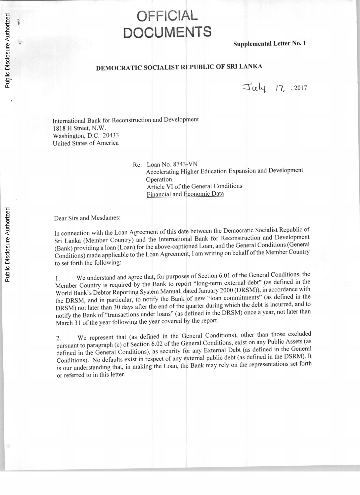## **OFFICIAL DOCUMENTS**

**Supplemental Letter** No. **1**

## **DEMOCRATIC SOCIALIST REPUBLIC OF SRI LANKA**

 $Juk$   $17, .2017$ 

International Bank for Reconstruction and Development **1818** H Street, N.W. Washington, **D.C.** 20433 United States of America

> Re: Loan No. **8743-VN** Accelerating Higher Education Expansion and Development Operation Article VI of the General Conditions Financial and Economic Data

Dear Sirs and Mesdames:

In connection with the Loan Agreement of this date between the Democratic Socialist Republic of Sri Lanka (Member Country) and the International Bank for Reconstruction and Development (Bank) providing a loan (Loan) for the above-captioned Loan, and the General Conditions (General Conditions) made applicable to the Loan Agreement, **I** am writing on behalf of the Member Country to set forth the following:

**1.** We understand and agree that, for purposes of Section **6.01** of the General Conditions, the Member Country is required **by** the Bank to report "long-term external debt" (as defined in the World Bank's Debtor Reporting System Manual, dated January 2000 (DRSM)), in accordance with the DRSM, and in particular, to notify the Bank of new "loan commitments" (as defined in the DRSM) not later than **<sup>30</sup>**days after the end of the quarter during which the debt is incurred, and to notify the Bank of "transactions under loans" (as defined in the DRSM) once a year, not later than March **31** of the year following the year covered **by** the report.

2. We represent that (as defined in the General Conditions), other than those excluded pursuant to paragraph **(c)** of Section **6.02** of the General Conditions, exist on any Public Assets (as defined in the General Conditions), as security for any External Debt (as defined in the General Conditions). No defaults exist in respect of any external public debt (as defined in the DSRM). It is our understanding that, in making the Loan, the Bank may rely on the representations set forth or referred to in this letter.

î